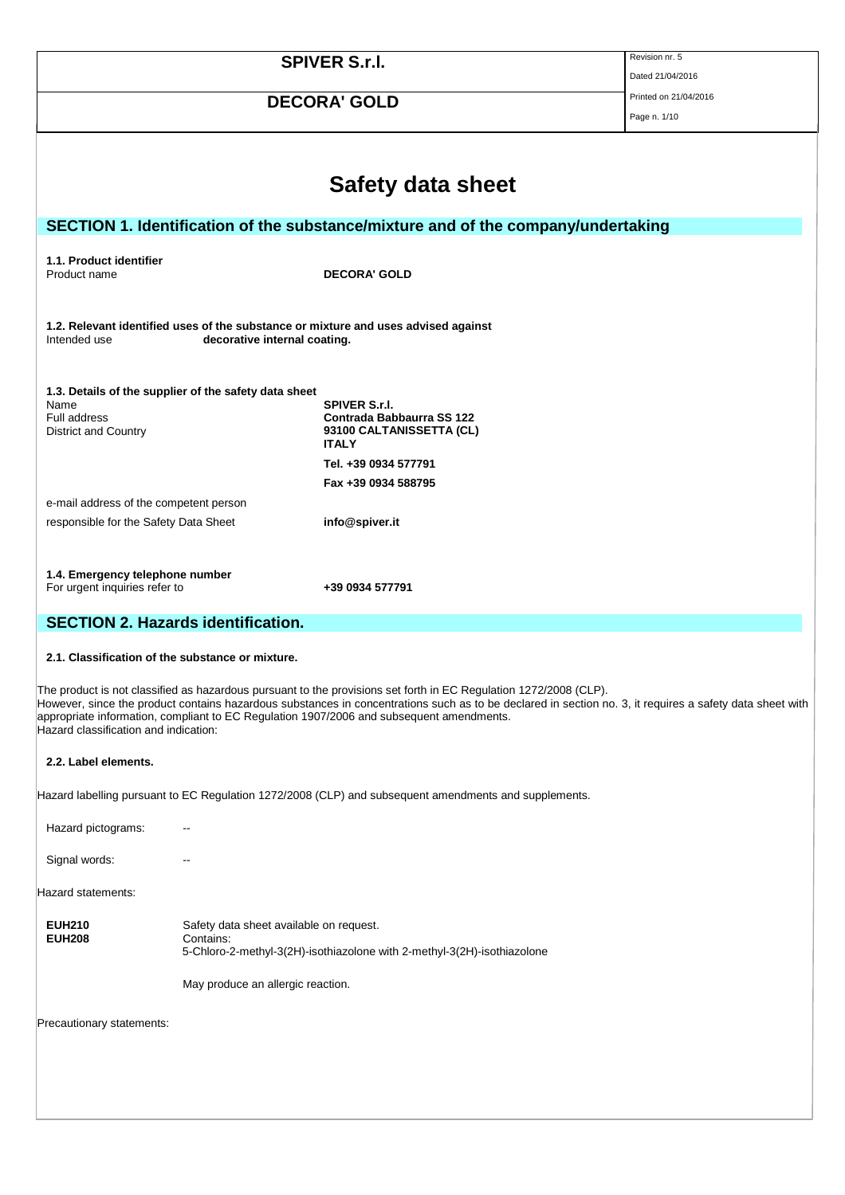|                                                                                                                                                                                                                                                                                                                                                                                                                    |                                                       | <b>SPIVER S.r.I.</b>                                                                                  | Revision nr. 5<br>Dated 21/04/2016 |
|--------------------------------------------------------------------------------------------------------------------------------------------------------------------------------------------------------------------------------------------------------------------------------------------------------------------------------------------------------------------------------------------------------------------|-------------------------------------------------------|-------------------------------------------------------------------------------------------------------|------------------------------------|
|                                                                                                                                                                                                                                                                                                                                                                                                                    |                                                       |                                                                                                       | Printed on 21/04/2016              |
|                                                                                                                                                                                                                                                                                                                                                                                                                    |                                                       | <b>DECORA' GOLD</b>                                                                                   | Page n. 1/10                       |
|                                                                                                                                                                                                                                                                                                                                                                                                                    |                                                       |                                                                                                       |                                    |
|                                                                                                                                                                                                                                                                                                                                                                                                                    |                                                       |                                                                                                       |                                    |
|                                                                                                                                                                                                                                                                                                                                                                                                                    |                                                       | Safety data sheet                                                                                     |                                    |
|                                                                                                                                                                                                                                                                                                                                                                                                                    |                                                       | SECTION 1. Identification of the substance/mixture and of the company/undertaking                     |                                    |
|                                                                                                                                                                                                                                                                                                                                                                                                                    |                                                       |                                                                                                       |                                    |
| 1.1. Product identifier<br>Product name                                                                                                                                                                                                                                                                                                                                                                            |                                                       | <b>DECORA' GOLD</b>                                                                                   |                                    |
|                                                                                                                                                                                                                                                                                                                                                                                                                    |                                                       |                                                                                                       |                                    |
| Intended use                                                                                                                                                                                                                                                                                                                                                                                                       | decorative internal coating.                          | 1.2. Relevant identified uses of the substance or mixture and uses advised against                    |                                    |
|                                                                                                                                                                                                                                                                                                                                                                                                                    | 1.3. Details of the supplier of the safety data sheet |                                                                                                       |                                    |
| Name<br>Full address<br>District and Country                                                                                                                                                                                                                                                                                                                                                                       |                                                       | <b>SPIVER S.r.I.</b><br>Contrada Babbaurra SS 122<br>93100 CALTANISSETTA (CL)                         |                                    |
|                                                                                                                                                                                                                                                                                                                                                                                                                    |                                                       | <b>ITALY</b><br>Tel. +39 0934 577791                                                                  |                                    |
|                                                                                                                                                                                                                                                                                                                                                                                                                    |                                                       | Fax +39 0934 588795                                                                                   |                                    |
| e-mail address of the competent person                                                                                                                                                                                                                                                                                                                                                                             |                                                       |                                                                                                       |                                    |
| responsible for the Safety Data Sheet                                                                                                                                                                                                                                                                                                                                                                              |                                                       | info@spiver.it                                                                                        |                                    |
|                                                                                                                                                                                                                                                                                                                                                                                                                    |                                                       |                                                                                                       |                                    |
| 1.4. Emergency telephone number<br>For urgent inquiries refer to                                                                                                                                                                                                                                                                                                                                                   |                                                       | +39 0934 577791                                                                                       |                                    |
| <b>SECTION 2. Hazards identification.</b>                                                                                                                                                                                                                                                                                                                                                                          |                                                       |                                                                                                       |                                    |
| 2.1. Classification of the substance or mixture.                                                                                                                                                                                                                                                                                                                                                                   |                                                       |                                                                                                       |                                    |
| The product is not classified as hazardous pursuant to the provisions set forth in EC Regulation 1272/2008 (CLP).<br>However, since the product contains hazardous substances in concentrations such as to be declared in section no. 3, it requires a safety data sheet with<br>appropriate information, compliant to EC Regulation 1907/2006 and subsequent amendments.<br>Hazard classification and indication: |                                                       |                                                                                                       |                                    |
| 2.2. Label elements.                                                                                                                                                                                                                                                                                                                                                                                               |                                                       |                                                                                                       |                                    |
|                                                                                                                                                                                                                                                                                                                                                                                                                    |                                                       | Hazard labelling pursuant to EC Regulation 1272/2008 (CLP) and subsequent amendments and supplements. |                                    |
| Hazard pictograms:                                                                                                                                                                                                                                                                                                                                                                                                 |                                                       |                                                                                                       |                                    |
| Signal words:                                                                                                                                                                                                                                                                                                                                                                                                      | --                                                    |                                                                                                       |                                    |
| Hazard statements:                                                                                                                                                                                                                                                                                                                                                                                                 |                                                       |                                                                                                       |                                    |
| <b>EUH210</b><br><b>EUH208</b>                                                                                                                                                                                                                                                                                                                                                                                     | Safety data sheet available on request.<br>Contains:  | 5-Chloro-2-methyl-3(2H)-isothiazolone with 2-methyl-3(2H)-isothiazolone                               |                                    |
|                                                                                                                                                                                                                                                                                                                                                                                                                    | May produce an allergic reaction.                     |                                                                                                       |                                    |
| Precautionary statements:                                                                                                                                                                                                                                                                                                                                                                                          |                                                       |                                                                                                       |                                    |
|                                                                                                                                                                                                                                                                                                                                                                                                                    |                                                       |                                                                                                       |                                    |
|                                                                                                                                                                                                                                                                                                                                                                                                                    |                                                       |                                                                                                       |                                    |
|                                                                                                                                                                                                                                                                                                                                                                                                                    |                                                       |                                                                                                       |                                    |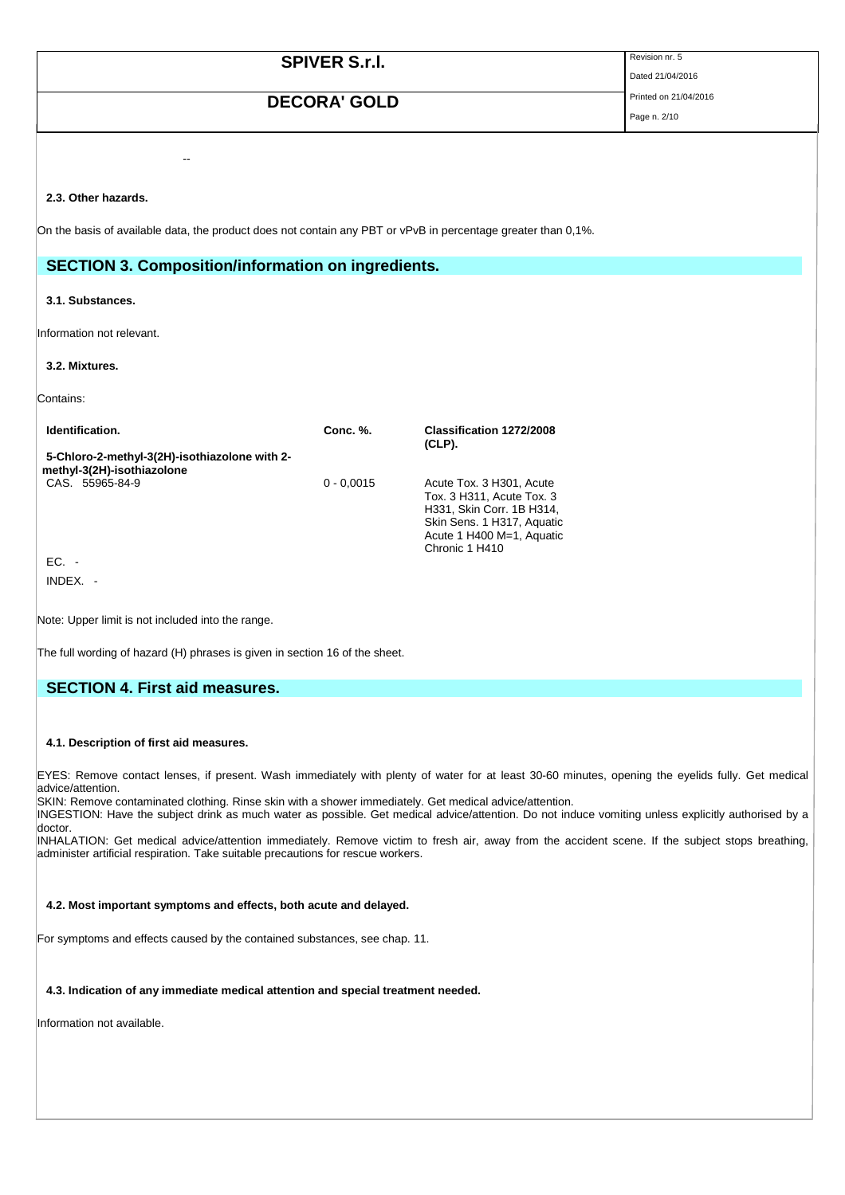| <b>SPIVER S.r.I.</b>                                                                                          | Revision nr. 5<br>Dated 21/04/2016 |
|---------------------------------------------------------------------------------------------------------------|------------------------------------|
| <b>DECORA' GOLD</b>                                                                                           | Printed on 21/04/2016              |
|                                                                                                               | Page n. 2/10                       |
|                                                                                                               |                                    |
| --                                                                                                            |                                    |
| 2.3. Other hazards.                                                                                           |                                    |
| On the basis of available data, the product does not contain any PBT or vPvB in percentage greater than 0,1%. |                                    |
|                                                                                                               |                                    |
| <b>SECTION 3. Composition/information on ingredients.</b>                                                     |                                    |
| 3.1. Substances.                                                                                              |                                    |
| Information not relevant.                                                                                     |                                    |
| 3.2. Mixtures.                                                                                                |                                    |

Contains:

| Identification.                                                             | Conc. %.     | Classification 1272/2008<br>$(CLP)$ .                                                                                                                           |
|-----------------------------------------------------------------------------|--------------|-----------------------------------------------------------------------------------------------------------------------------------------------------------------|
| 5-Chloro-2-methyl-3(2H)-isothiazolone with 2-<br>methyl-3(2H)-isothiazolone |              |                                                                                                                                                                 |
| CAS. 55965-84-9                                                             | $0 - 0.0015$ | Acute Tox. 3 H301, Acute<br>Tox. 3 H311, Acute Tox. 3<br>H331, Skin Corr. 1B H314,<br>Skin Sens. 1 H317, Aquatic<br>Acute 1 H400 M=1, Aquatic<br>Chronic 1 H410 |
| EC. -                                                                       |              |                                                                                                                                                                 |
| INDEX.                                                                      |              |                                                                                                                                                                 |

Note: Upper limit is not included into the range.

The full wording of hazard (H) phrases is given in section 16 of the sheet.

# **SECTION 4. First aid measures.**

#### **4.1. Description of first aid measures.**

EYES: Remove contact lenses, if present. Wash immediately with plenty of water for at least 30-60 minutes, opening the eyelids fully. Get medical advice/attention.

SKIN: Remove contaminated clothing. Rinse skin with a shower immediately. Get medical advice/attention.

INGESTION: Have the subject drink as much water as possible. Get medical advice/attention. Do not induce vomiting unless explicitly authorised by a doctor.

INHALATION: Get medical advice/attention immediately. Remove victim to fresh air, away from the accident scene. If the subject stops breathing, administer artificial respiration. Take suitable precautions for rescue workers.

## **4.2. Most important symptoms and effects, both acute and delayed.**

For symptoms and effects caused by the contained substances, see chap. 11.

### **4.3. Indication of any immediate medical attention and special treatment needed.**

Information not available.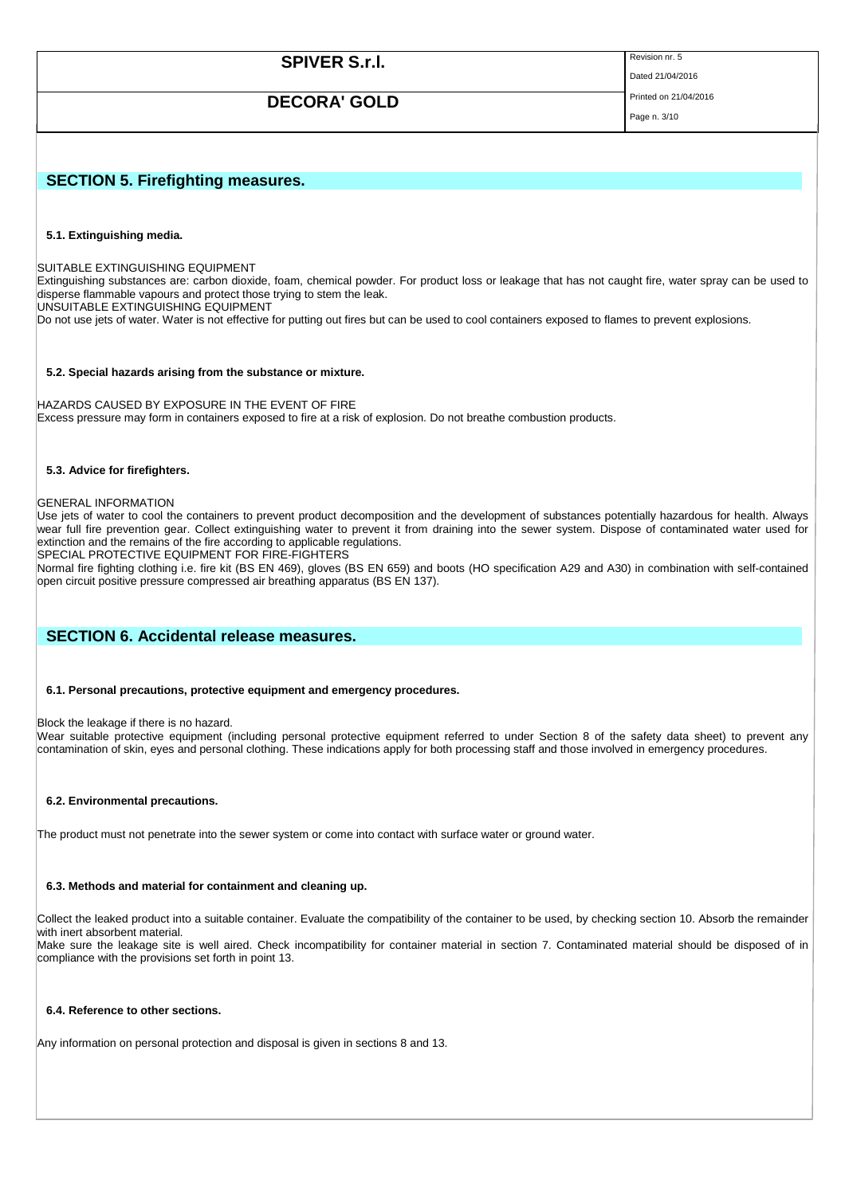| <b>SPIVER S.r.I.</b><br><b>DECORA' GOLD</b>                                                                                                                                                                                                                                                                                                                                                                                                                                                  | Revision nr. 5<br>Dated 21/04/2016<br>Printed on 21/04/2016<br>Page n. 3/10 |
|----------------------------------------------------------------------------------------------------------------------------------------------------------------------------------------------------------------------------------------------------------------------------------------------------------------------------------------------------------------------------------------------------------------------------------------------------------------------------------------------|-----------------------------------------------------------------------------|
| <b>SECTION 5. Firefighting measures.</b>                                                                                                                                                                                                                                                                                                                                                                                                                                                     |                                                                             |
| 5.1. Extinguishing media.<br>ISUITABLE EXTINGUISHING EQUIPMENT<br>Extinguishing substances are: carbon dioxide, foam, chemical powder. For product loss or leakage that has not caught fire, water spray can be used to<br>disperse flammable vapours and protect those trying to stem the leak.<br>UNSUITABLE EXTINGUISHING EQUIPMENT<br>Do not use jets of water. Water is not effective for putting out fires but can be used to cool containers exposed to flames to prevent explosions. |                                                                             |

#### **5.2. Special hazards arising from the substance or mixture.**

HAZARDS CAUSED BY EXPOSURE IN THE EVENT OF FIRE Excess pressure may form in containers exposed to fire at a risk of explosion. Do not breathe combustion products.

#### **5.3. Advice for firefighters.**

#### GENERAL INFORMATION

Use jets of water to cool the containers to prevent product decomposition and the development of substances potentially hazardous for health. Always wear full fire prevention gear. Collect extinguishing water to prevent it from draining into the sewer system. Dispose of contaminated water used for extinction and the remains of the fire according to applicable regulations.

SPECIAL PROTECTIVE EQUIPMENT FOR FIRE-FIGHTERS

Normal fire fighting clothing i.e. fire kit (BS EN 469), gloves (BS EN 659) and boots (HO specification A29 and A30) in combination with self-contained open circuit positive pressure compressed air breathing apparatus (BS EN 137).

# **SECTION 6. Accidental release measures.**

## **6.1. Personal precautions, protective equipment and emergency procedures.**

Block the leakage if there is no hazard.

Wear suitable protective equipment (including personal protective equipment referred to under Section 8 of the safety data sheet) to prevent any contamination of skin, eyes and personal clothing. These indications apply for both processing staff and those involved in emergency procedures.

#### **6.2. Environmental precautions.**

The product must not penetrate into the sewer system or come into contact with surface water or ground water.

#### **6.3. Methods and material for containment and cleaning up.**

Collect the leaked product into a suitable container. Evaluate the compatibility of the container to be used, by checking section 10. Absorb the remainder with inert absorbent material.

Make sure the leakage site is well aired. Check incompatibility for container material in section 7. Contaminated material should be disposed of in compliance with the provisions set forth in point 13.

#### **6.4. Reference to other sections.**

Any information on personal protection and disposal is given in sections 8 and 13.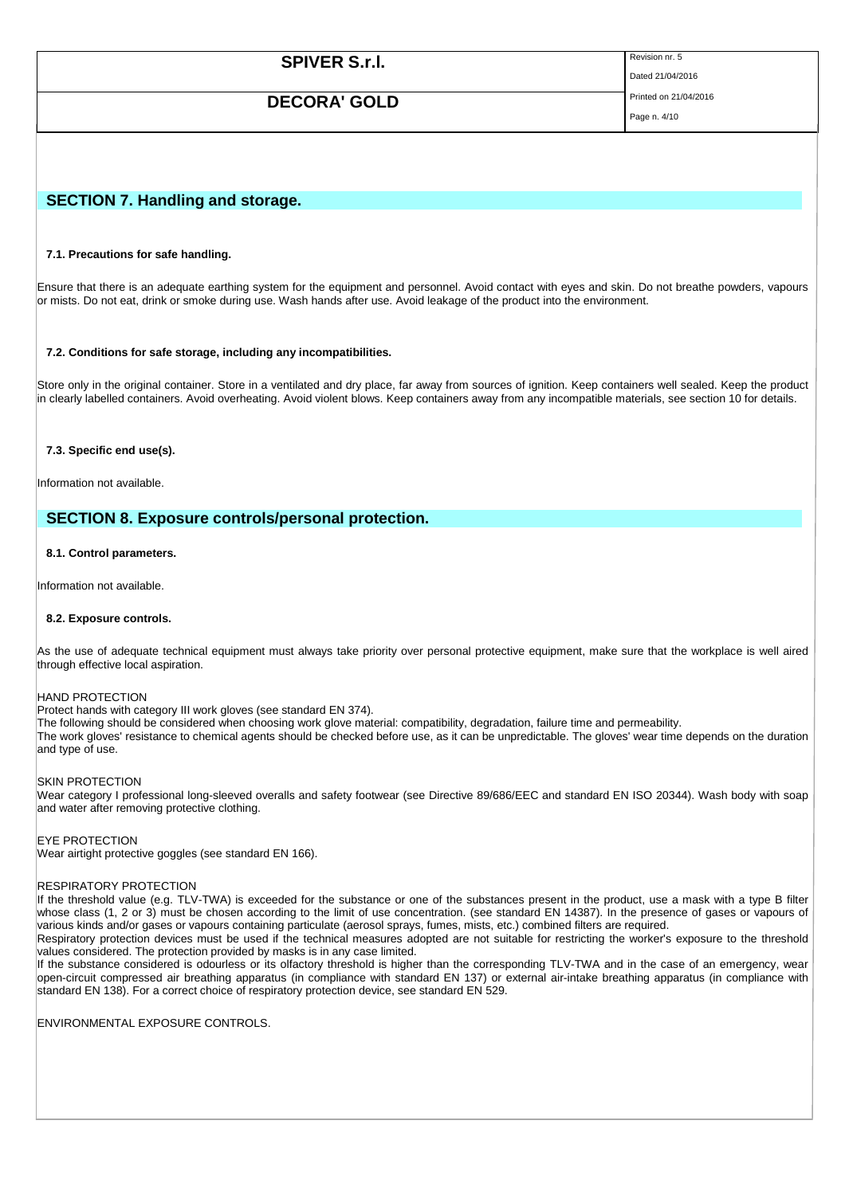| <b>SPIVER S.r.I.</b> | Revision nr. 5        |
|----------------------|-----------------------|
|                      | Dated 21/04/2016      |
| <b>DECORA' GOLD</b>  | Printed on 21/04/2016 |
|                      | Page n. 4/10          |

# **SECTION 7. Handling and storage.**

### **7.1. Precautions for safe handling.**

Ensure that there is an adequate earthing system for the equipment and personnel. Avoid contact with eyes and skin. Do not breathe powders, vapours or mists. Do not eat, drink or smoke during use. Wash hands after use. Avoid leakage of the product into the environment.

#### **7.2. Conditions for safe storage, including any incompatibilities.**

Store only in the original container. Store in a ventilated and dry place, far away from sources of ignition. Keep containers well sealed. Keep the product in clearly labelled containers. Avoid overheating. Avoid violent blows. Keep containers away from any incompatible materials, see section 10 for details.

#### **7.3. Specific end use(s).**

Information not available.

# **SECTION 8. Exposure controls/personal protection.**

#### **8.1. Control parameters.**

Information not available.

#### **8.2. Exposure controls.**

As the use of adequate technical equipment must always take priority over personal protective equipment, make sure that the workplace is well aired through effective local aspiration.

#### HAND PROTECTION

Protect hands with category III work gloves (see standard EN 374).

The following should be considered when choosing work glove material: compatibility, degradation, failure time and permeability.

The work gloves' resistance to chemical agents should be checked before use, as it can be unpredictable. The gloves' wear time depends on the duration and type of use.

#### SKIN PROTECTION

Wear category I professional long-sleeved overalls and safety footwear (see Directive 89/686/EEC and standard EN ISO 20344). Wash body with soap and water after removing protective clothing.

#### EYE PROTECTION

Wear airtight protective goggles (see standard EN 166).

#### RESPIRATORY PROTECTION

If the threshold value (e.g. TLV-TWA) is exceeded for the substance or one of the substances present in the product, use a mask with a type B filter whose class (1, 2 or 3) must be chosen according to the limit of use concentration. (see standard EN 14387). In the presence of gases or vapours of various kinds and/or gases or vapours containing particulate (aerosol sprays, fumes, mists, etc.) combined filters are required.

Respiratory protection devices must be used if the technical measures adopted are not suitable for restricting the worker's exposure to the threshold values considered. The protection provided by masks is in any case limited.

If the substance considered is odourless or its olfactory threshold is higher than the corresponding TLV-TWA and in the case of an emergency, wear open-circuit compressed air breathing apparatus (in compliance with standard EN 137) or external air-intake breathing apparatus (in compliance with standard EN 138). For a correct choice of respiratory protection device, see standard EN 529.

ENVIRONMENTAL EXPOSURE CONTROLS.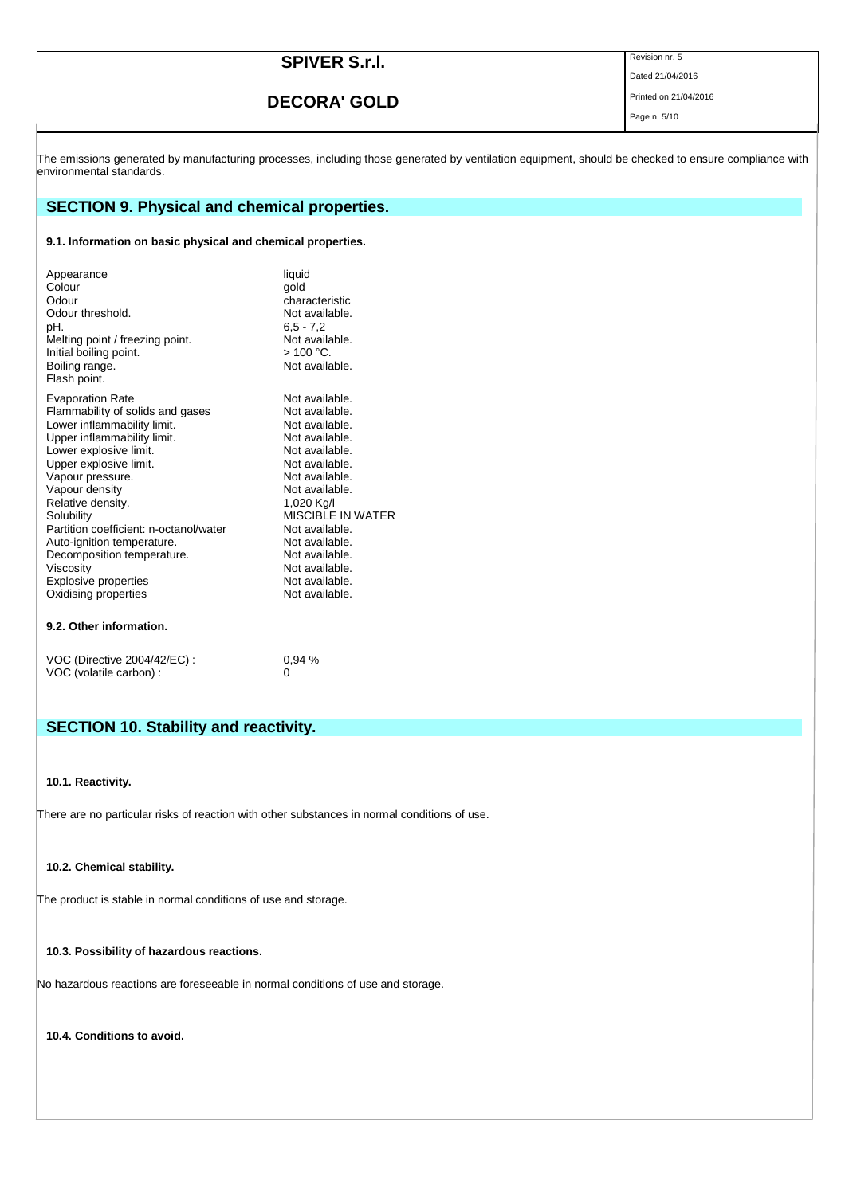| <b>SPIVER S.r.I.</b> | Revision nr. 5        |
|----------------------|-----------------------|
|                      | Dated 21/04/2016      |
| <b>DECORA' GOLD</b>  | Printed on 21/04/2016 |
|                      | Page n. 5/10          |

The emissions generated by manufacturing processes, including those generated by ventilation equipment, should be checked to ensure compliance with environmental standards.

# **SECTION 9. Physical and chemical properties.**

# **9.1. Information on basic physical and chemical properties.**

| Appearance<br>Colour<br>Odour<br>Odour threshold.<br>pH.<br>Melting point / freezing point.<br>Initial boiling point.<br>Boiling range.<br>Flash point. | liquid<br>qold<br>characteristic<br>Not available.<br>$6.5 - 7.2$<br>Not available.<br>$>100$ °C.<br>Not available. |
|---------------------------------------------------------------------------------------------------------------------------------------------------------|---------------------------------------------------------------------------------------------------------------------|
| <b>Evaporation Rate</b>                                                                                                                                 | Not available.                                                                                                      |
| Flammability of solids and gases                                                                                                                        | Not available.                                                                                                      |
| Lower inflammability limit.                                                                                                                             | Not available.                                                                                                      |
| Upper inflammability limit.                                                                                                                             | Not available.                                                                                                      |
| Lower explosive limit.                                                                                                                                  | Not available.                                                                                                      |
| Upper explosive limit.                                                                                                                                  | Not available.                                                                                                      |
| Vapour pressure.                                                                                                                                        | Not available.                                                                                                      |
| Vapour density                                                                                                                                          | Not available.                                                                                                      |
| Relative density.                                                                                                                                       | 1,020 Kg/l                                                                                                          |
| Solubility                                                                                                                                              | <b>MISCIBLE IN WATER</b>                                                                                            |
| Partition coefficient: n-octanol/water                                                                                                                  | Not available.                                                                                                      |
| Auto-ignition temperature.                                                                                                                              | Not available.                                                                                                      |
| Decomposition temperature.                                                                                                                              | Not available.                                                                                                      |
| Viscosity                                                                                                                                               | Not available.                                                                                                      |
| Explosive properties                                                                                                                                    | Not available.                                                                                                      |
| Oxidising properties                                                                                                                                    | Not available.                                                                                                      |

# **9.2. Other information.**

| VOC (Directive 2004/42/EC) : | $0.94\%$ |
|------------------------------|----------|
| VOC (volatile carbon) :      |          |

# **SECTION 10. Stability and reactivity.**

## **10.1. Reactivity.**

There are no particular risks of reaction with other substances in normal conditions of use.

# **10.2. Chemical stability.**

The product is stable in normal conditions of use and storage.

## **10.3. Possibility of hazardous reactions.**

No hazardous reactions are foreseeable in normal conditions of use and storage.

**10.4. Conditions to avoid.**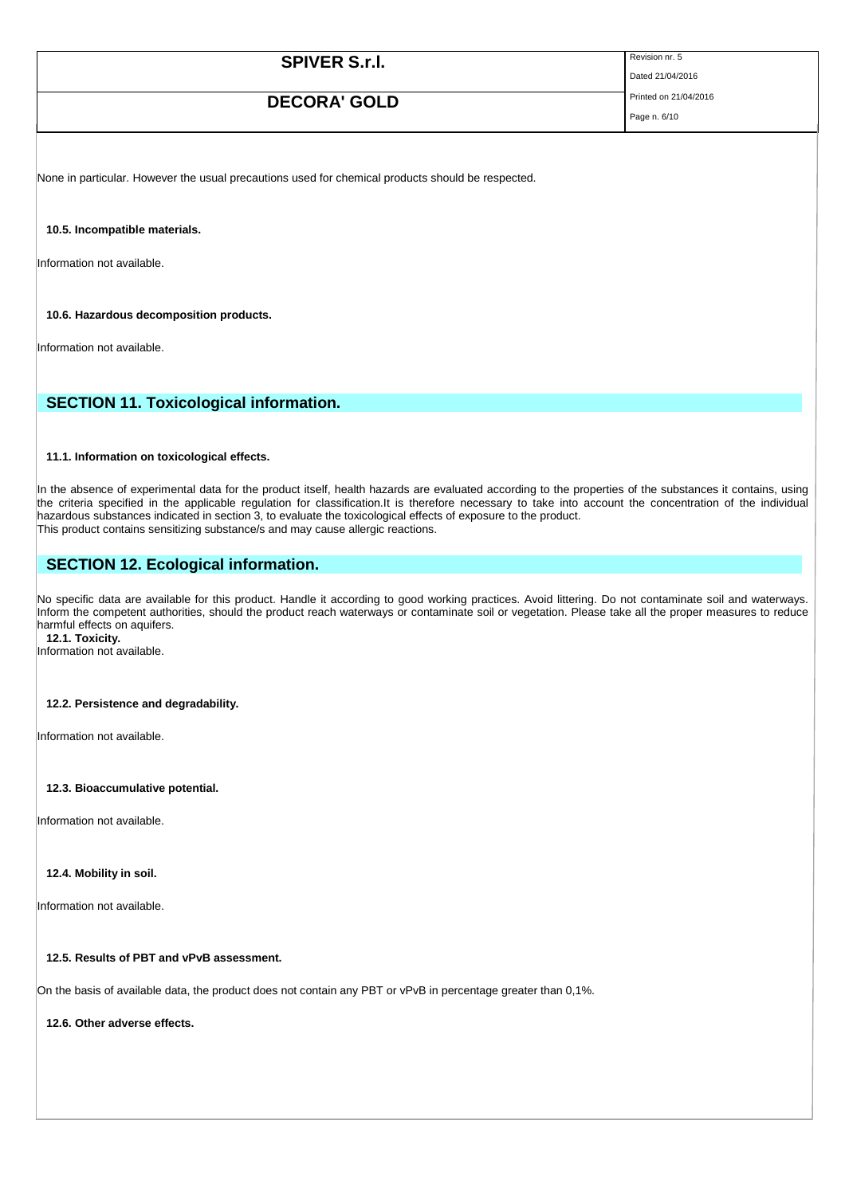| <b>SPIVER S.r.I.</b> | Revision nr. 5<br>Dated 21/04/2016 |
|----------------------|------------------------------------|
| <b>DECORA' GOLD</b>  | Printed on 21/04/2016              |

Page n. 6/10

None in particular. However the usual precautions used for chemical products should be respected.

**10.5. Incompatible materials.**

Information not available.

**10.6. Hazardous decomposition products.**

Information not available.

# **SECTION 11. Toxicological information.**

#### **11.1. Information on toxicological effects.**

In the absence of experimental data for the product itself, health hazards are evaluated according to the properties of the substances it contains, using the criteria specified in the applicable regulation for classification.It is therefore necessary to take into account the concentration of the individual hazardous substances indicated in section 3, to evaluate the toxicological effects of exposure to the product. This product contains sensitizing substance/s and may cause allergic reactions.

# **SECTION 12. Ecological information.**

No specific data are available for this product. Handle it according to good working practices. Avoid littering. Do not contaminate soil and waterways. Inform the competent authorities, should the product reach waterways or contaminate soil or vegetation. Please take all the proper measures to reduce harmful effects on aquifers. **12.1. Toxicity.**

Information not available.

# **12.2. Persistence and degradability.**

Information not available.

#### **12.3. Bioaccumulative potential.**

Information not available.

#### **12.4. Mobility in soil.**

Information not available.

# **12.5. Results of PBT and vPvB assessment.**

On the basis of available data, the product does not contain any PBT or vPvB in percentage greater than 0,1%.

**12.6. Other adverse effects.**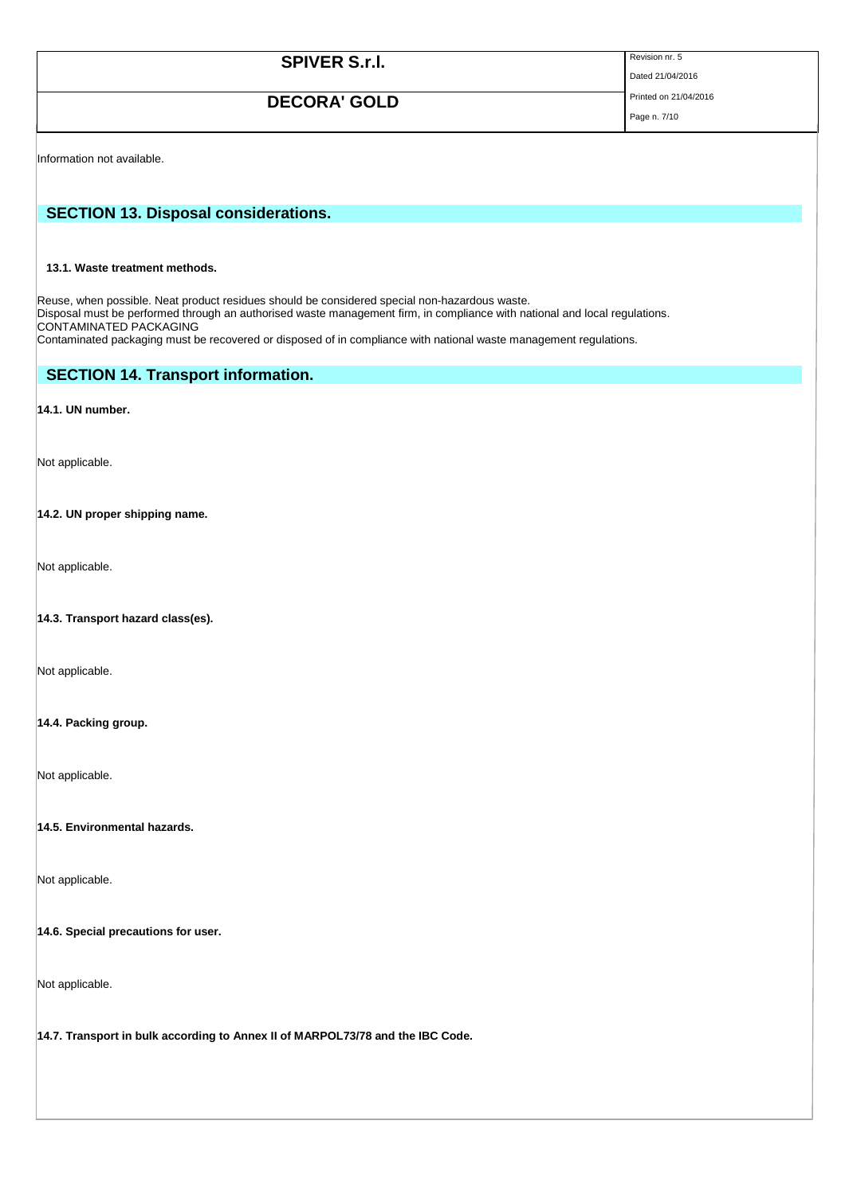| <b>SPIVER S.r.I.</b> | Revision nr. 5 |
|----------------------|----------------|
|                      | Dated 21/04/2  |

# **DECORA' GOLD** Printed on 21/04/2016

 $2016$ 

Page n. 7/10

Information not available.

# **SECTION 13. Disposal considerations.**

# **13.1. Waste treatment methods.**

Reuse, when possible. Neat product residues should be considered special non-hazardous waste. Disposal must be performed through an authorised waste management firm, in compliance with national and local regulations. CONTAMINATED PACKAGING Contaminated packaging must be recovered or disposed of in compliance with national waste management regulations.

# **SECTION 14. Transport information.**

# **14.1. UN number.**

Not applicable.

# **14.2. UN proper shipping name.**

Not applicable.

# **14.3. Transport hazard class(es).**

Not applicable.

# **14.4. Packing group.**

Not applicable.

## **14.5. Environmental hazards.**

Not applicable.

## **14.6. Special precautions for user.**

Not applicable.

**14.7. Transport in bulk according to Annex II of MARPOL73/78 and the IBC Code.**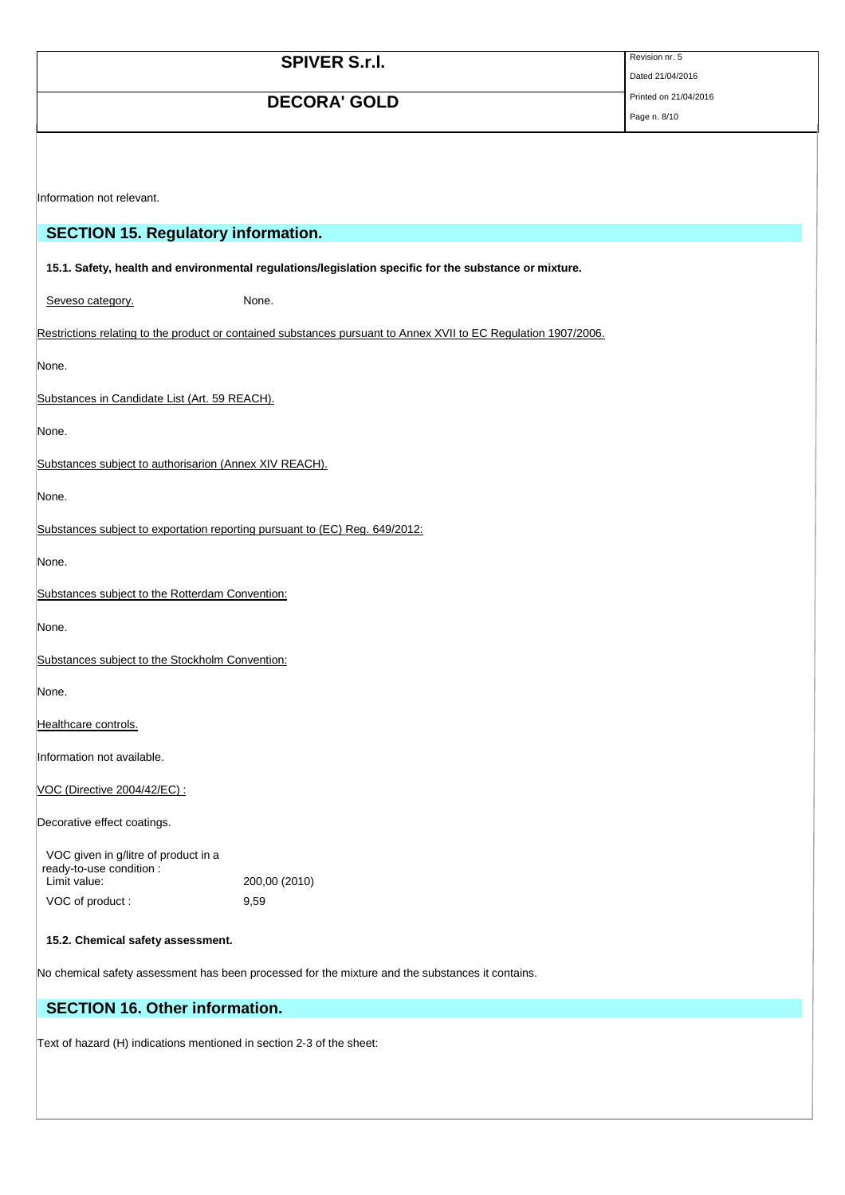|                                                                                  | <b>SPIVER S.r.I.</b>                                                                                            | Revision nr. 5        |
|----------------------------------------------------------------------------------|-----------------------------------------------------------------------------------------------------------------|-----------------------|
|                                                                                  |                                                                                                                 | Dated 21/04/2016      |
|                                                                                  | <b>DECORA' GOLD</b>                                                                                             | Printed on 21/04/2016 |
|                                                                                  |                                                                                                                 | Page n. 8/10          |
|                                                                                  |                                                                                                                 |                       |
|                                                                                  |                                                                                                                 |                       |
| Information not relevant.                                                        |                                                                                                                 |                       |
|                                                                                  |                                                                                                                 |                       |
| <b>SECTION 15. Regulatory information.</b>                                       |                                                                                                                 |                       |
|                                                                                  | 15.1. Safety, health and environmental regulations/legislation specific for the substance or mixture.           |                       |
| Seveso category.                                                                 | None.                                                                                                           |                       |
|                                                                                  | Restrictions relating to the product or contained substances pursuant to Annex XVII to EC Regulation 1907/2006. |                       |
| None.                                                                            |                                                                                                                 |                       |
| Substances in Candidate List (Art. 59 REACH).                                    |                                                                                                                 |                       |
| None.                                                                            |                                                                                                                 |                       |
| Substances subject to authorisarion (Annex XIV REACH).                           |                                                                                                                 |                       |
| None.                                                                            |                                                                                                                 |                       |
| Substances subject to exportation reporting pursuant to (EC) Reg. 649/2012:      |                                                                                                                 |                       |
| None.                                                                            |                                                                                                                 |                       |
| Substances subject to the Rotterdam Convention:                                  |                                                                                                                 |                       |
| None.                                                                            |                                                                                                                 |                       |
| Substances subject to the Stockholm Convention:                                  |                                                                                                                 |                       |
| None.                                                                            |                                                                                                                 |                       |
| Healthcare controls.                                                             |                                                                                                                 |                       |
| Information not available.                                                       |                                                                                                                 |                       |
| VOC (Directive 2004/42/EC) :                                                     |                                                                                                                 |                       |
| Decorative effect coatings.                                                      |                                                                                                                 |                       |
| VOC given in g/litre of product in a<br>ready-to-use condition :<br>Limit value: | 200,00 (2010)                                                                                                   |                       |
| VOC of product:                                                                  | 9,59                                                                                                            |                       |
|                                                                                  |                                                                                                                 |                       |

# **15.2. Chemical safety assessment.**

No chemical safety assessment has been processed for the mixture and the substances it contains.

# **SECTION 16. Other information.**

Text of hazard (H) indications mentioned in section 2-3 of the sheet: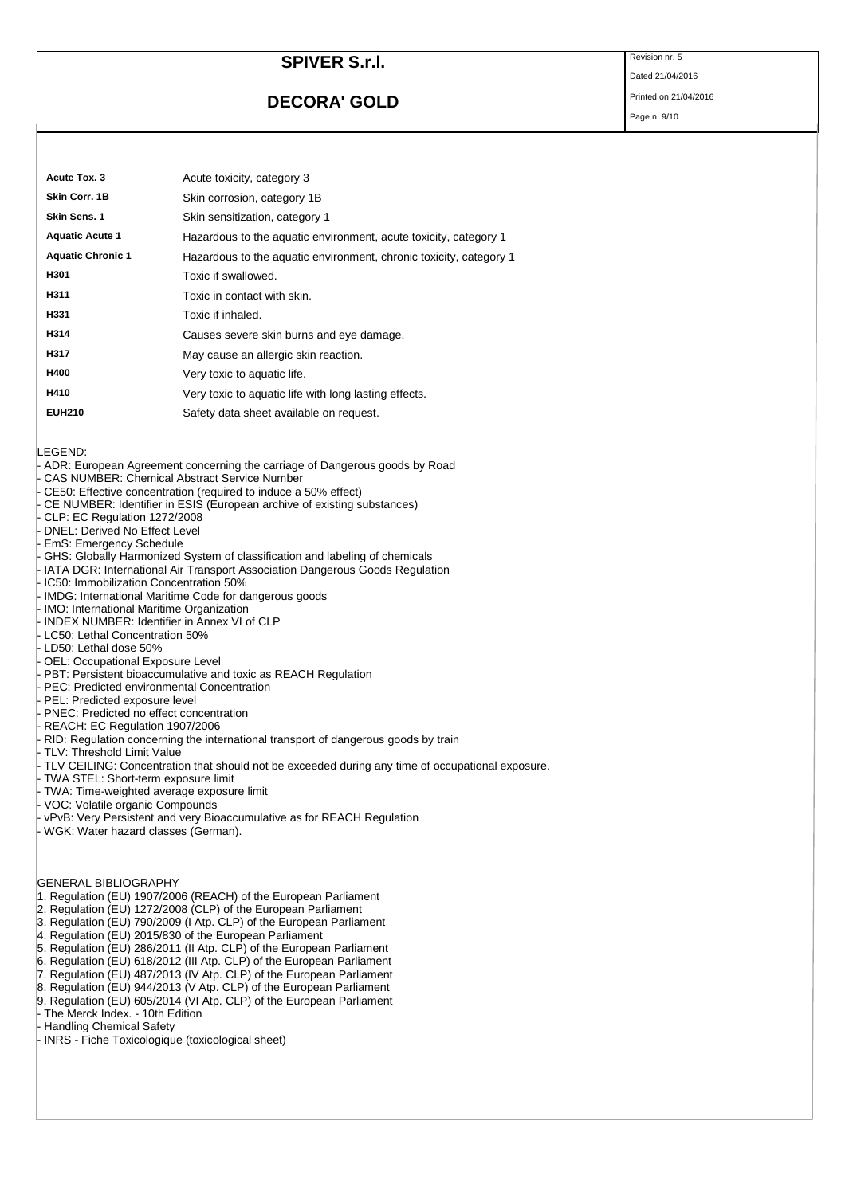# **SPIVER S.r.I.** Revision nr. 5

# **DECORA' GOLD** Printed on 21/04/2016

Dated 21/04/2016

| Page n. 9/10 |  |  |
|--------------|--|--|
|              |  |  |

| Acute Tox. 3             | Acute toxicity, category 3                                         |
|--------------------------|--------------------------------------------------------------------|
| Skin Corr. 1B            | Skin corrosion, category 1B                                        |
| Skin Sens. 1             | Skin sensitization, category 1                                     |
| <b>Aquatic Acute 1</b>   | Hazardous to the aquatic environment, acute toxicity, category 1   |
| <b>Aquatic Chronic 1</b> | Hazardous to the aquatic environment, chronic toxicity, category 1 |
| H301                     | Toxic if swallowed.                                                |
| H311                     | Toxic in contact with skin.                                        |
| H331                     | Toxic if inhaled.                                                  |
| H314                     | Causes severe skin burns and eye damage.                           |
| H317                     | May cause an allergic skin reaction.                               |
| H400                     | Very toxic to aquatic life.                                        |
| H410                     | Very toxic to aquatic life with long lasting effects.              |
| <b>EUH210</b>            | Safety data sheet available on request.                            |

LEGEND:

- ADR: European Agreement concerning the carriage of Dangerous goods by Road
- CAS NUMBER: Chemical Abstract Service Number
- CE50: Effective concentration (required to induce a 50% effect)
- CE NUMBER: Identifier in ESIS (European archive of existing substances)
- CLP: EC Regulation 1272/2008
- DNEL: Derived No Effect Level
- EmS: Emergency Schedule
- GHS: Globally Harmonized System of classification and labeling of chemicals
- IATA DGR: International Air Transport Association Dangerous Goods Regulation
- IC50: Immobilization Concentration 50%
- IMDG: International Maritime Code for dangerous goods
- IMO: International Maritime Organization
- INDEX NUMBER: Identifier in Annex VI of CLP
- LC50: Lethal Concentration 50%
- LD50: Lethal dose 50%
- OEL: Occupational Exposure Level
- PBT: Persistent bioaccumulative and toxic as REACH Regulation
- PEC: Predicted environmental Concentration
- PEL: Predicted exposure level
- PNEC: Predicted no effect concentration
- REACH: EC Regulation 1907/2006
- RID: Regulation concerning the international transport of dangerous goods by train
- TLV: Threshold Limit Value
- TLV CEILING: Concentration that should not be exceeded during any time of occupational exposure.
- TWA STEL: Short-term exposure limit
- TWA: Time-weighted average exposure limit
- VOC: Volatile organic Compounds
- vPvB: Very Persistent and very Bioaccumulative as for REACH Regulation
- WGK: Water hazard classes (German).

GENERAL BIBLIOGRAPHY

- 1. Regulation (EU) 1907/2006 (REACH) of the European Parliament
- 2. Regulation (EU) 1272/2008 (CLP) of the European Parliament
- 3. Regulation (EU) 790/2009 (I Atp. CLP) of the European Parliament
- 4. Regulation (EU) 2015/830 of the European Parliament
- 5. Regulation (EU) 286/2011 (II Atp. CLP) of the European Parliament
- 6. Regulation (EU) 618/2012 (III Atp. CLP) of the European Parliament
- 7. Regulation (EU) 487/2013 (IV Atp. CLP) of the European Parliament
- 8. Regulation (EU) 944/2013 (V Atp. CLP) of the European Parliament
- 9. Regulation (EU) 605/2014 (VI Atp. CLP) of the European Parliament
- The Merck Index. 10th Edition
- Handling Chemical Safety
- INRS Fiche Toxicologique (toxicological sheet)